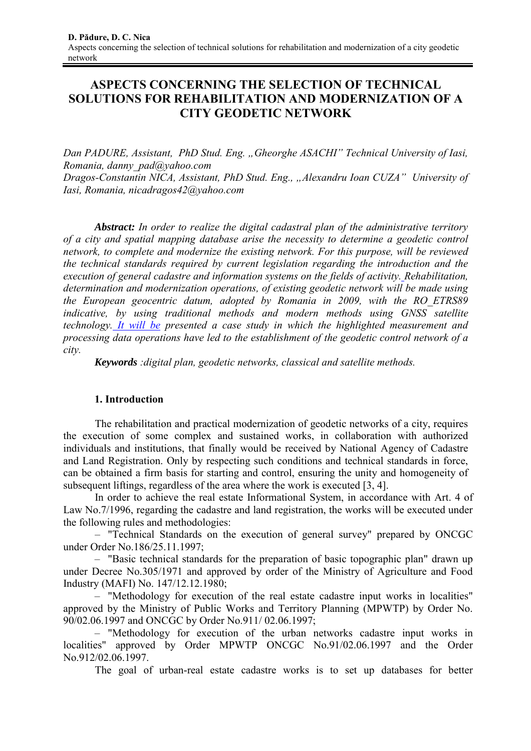# **ASPECTS CONCERNING THE SELECTION OF TECHNICAL SOLUTIONS FOR REHABILITATION AND MODERNIZATION OF A CITY GEODETIC NETWORK**

*Dan PADURE, Assistant, PhD Stud. Eng. "Gheorghe ASACHI" Technical University of Iasi, Romania, danny\_pad@yahoo.com Dragos-Constantin NICA, Assistant, PhD Stud. Eng., "Alexandru Ioan CUZA" University of Iasi, Romania, nicadragos42@yahoo.com*

*Abstract: In order to realize the digital cadastral plan of the administrative territory of a city and spatial mapping database arise the necessity to determine a geodetic control network, to complete and modernize the existing network. For this purpose, will be reviewed the technical standards required by current legislation regarding the introduction and the execution of general cadastre and information systems on the fields of activity. Rehabilitation, determination and modernization operations, of existing geodetic network will be made using the European geocentric datum, adopted by Romania in 2009, with the RO\_ETRS89 indicative, by using traditional methods and modern methods using GNSS satellite technology. It will be presented a case study in which the highlighted measurement and processing data operations have led to the establishment of the geodetic control network of a city.* 

*Keywords :digital plan, geodetic networks, classical and satellite methods.* 

# **1. Introduction**

The rehabilitation and practical modernization of geodetic networks of a city, requires the execution of some complex and sustained works, in collaboration with authorized individuals and institutions, that finally would be received by National Agency of Cadastre and Land Registration. Only by respecting such conditions and technical standards in force, can be obtained a firm basis for starting and control, ensuring the unity and homogeneity of subsequent liftings, regardless of the area where the work is executed [3, 4].

In order to achieve the real estate Informational System, in accordance with Art. 4 of Law No.7/1996, regarding the cadastre and land registration, the works will be executed under the following rules and methodologies:

– "Technical Standards on the execution of general survey" prepared by ONCGC under Order No.186/25.11.1997;

– "Basic technical standards for the preparation of basic topographic plan" drawn up under Decree No.305/1971 and approved by order of the Ministry of Agriculture and Food Industry (MAFI) No. 147/12.12.1980;

– "Methodology for execution of the real estate cadastre input works in localities" approved by the Ministry of Public Works and Territory Planning (MPWTP) by Order No. 90/02.06.1997 and ONCGC by Order No.911/ 02.06.1997;

– "Methodology for execution of the urban networks cadastre input works in localities" approved by Order MPWTP ONCGC No.91/02.06.1997 and the Order No.912/02.06.1997.

The goal of urban-real estate cadastre works is to set up databases for better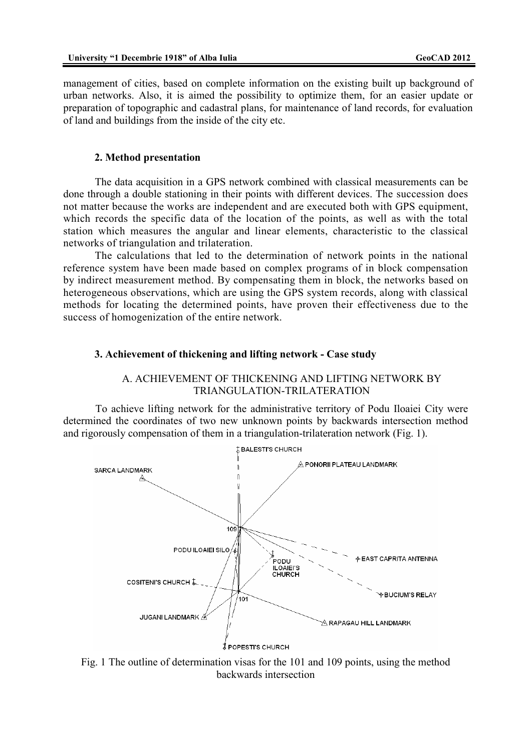management of cities, based on complete information on the existing built up background of urban networks. Also, it is aimed the possibility to optimize them, for an easier update or preparation of topographic and cadastral plans, for maintenance of land records, for evaluation of land and buildings from the inside of the city etc.

#### **2. Method presentation**

The data acquisition in a GPS network combined with classical measurements can be done through a double stationing in their points with different devices. The succession does not matter because the works are independent and are executed both with GPS equipment, which records the specific data of the location of the points, as well as with the total station which measures the angular and linear elements, characteristic to the classical networks of triangulation and trilateration.

The calculations that led to the determination of network points in the national reference system have been made based on complex programs of in block compensation by indirect measurement method. By compensating them in block, the networks based on heterogeneous observations, which are using the GPS system records, along with classical methods for locating the determined points, have proven their effectiveness due to the success of homogenization of the entire network.

## **3. Achievement of thickening and lifting network - Case study**



To achieve lifting network for the administrative territory of Podu Iloaiei City were determined the coordinates of two new unknown points by backwards intersection method and rigorously compensation of them in a triangulation-trilateration network (Fig. 1).



Fig. 1 The outline of determination visas for the 101 and 109 points, using the method backwards intersection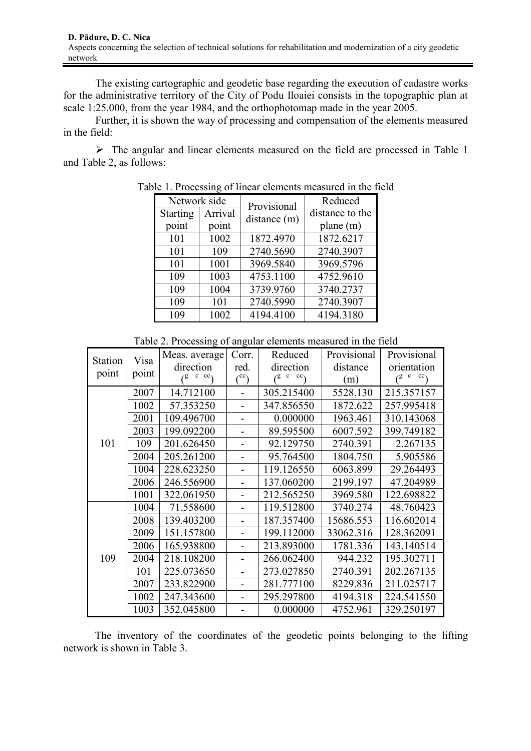The existing cartographic and geodetic base regarding the execution of cadastre works for the administrative territory of the City of Podu Iloaiei consists in the topographic plan at scale 1:25.000, from the year 1984, and the orthophotomap made in the year 2005.

Further, it is shown the way of processing and compensation of the elements measured in the field:

 $\triangleright$  The angular and linear elements measured on the field are processed in Table 1 and Table 2, as follows:

| Network side |         | Provisional  | Reduced         |
|--------------|---------|--------------|-----------------|
| Starting     | Arrival | distance (m) | distance to the |
| point        | point   |              | plane $(m)$     |
| 101          | 1002    | 1872.4970    | 1872.6217       |
| 101          | 109     | 2740.5690    | 2740.3907       |
| 101          | 1001    | 3969.5840    | 3969.5796       |
| 109          | 1003    | 4753.1100    | 4752.9610       |
| 109          | 1004    | 3739.9760    | 3740.2737       |
| 109          | 101     | 2740.5990    | 2740.3907       |
| 109          | 1002    | 4194.4100    | 4194.3180       |

Table 1. Processing of linear elements measured in the field

| Table 2. Processing of angular elements measured in the field |  |  |
|---------------------------------------------------------------|--|--|
|                                                               |  |  |

| Station | Visa  | Meas. average                | Corr.           | Reduced      | Provisional | Provisional  |
|---------|-------|------------------------------|-----------------|--------------|-------------|--------------|
| point   | point | direction                    | red.            | direction    | distance    | orientation  |
|         |       | $(8 \text{ } c \text{ } cc)$ | $\binom{cc}{c}$ | $(^{g}c$ cc) | (m)         | $(^{g}c$ cc) |
|         | 2007  | 14.712100                    |                 | 305.215400   | 5528.130    | 215.357157   |
|         | 1002  | 57.353250                    | -               | 347.856550   | 1872.622    | 257.995418   |
|         | 2001  | 109.496700                   |                 | 0.000000     | 1963.461    | 310.143068   |
|         | 2003  | 199.092200                   |                 | 89.595500    | 6007.592    | 399.749182   |
| 101     | 109   | 201.626450                   | -               | 92.129750    | 2740.391    | 2.267135     |
|         | 2004  | 205.261200                   |                 | 95.764500    | 1804.750    | 5.905586     |
|         | 1004  | 228.623250                   |                 | 119.126550   | 6063.899    | 29.264493    |
|         | 2006  | 246.556900                   |                 | 137.060200   | 2199.197    | 47.204989    |
|         | 1001  | 322.061950                   |                 | 212.565250   | 3969.580    | 122.698822   |
|         | 1004  | 71.558600                    |                 | 119.512800   | 3740.274    | 48.760423    |
|         | 2008  | 139.403200                   |                 | 187.357400   | 15686.553   | 116.602014   |
|         | 2009  | 151.157800                   |                 | 199.112000   | 33062.316   | 128.362091   |
|         | 2006  | 165.938800                   |                 | 213.893000   | 1781.336    | 143.140514   |
| 109     | 2004  | 218.108200                   |                 | 266.062400   | 944.232     | 195.302711   |
|         | 101   | 225.073650                   |                 | 273.027850   | 2740.391    | 202.267135   |
|         | 2007  | 233.822900                   |                 | 281.777100   | 8229.836    | 211.025717   |
|         | 1002  | 247.343600                   |                 | 295.297800   | 4194.318    | 224.541550   |
|         | 1003  | 352.045800                   |                 | 0.000000     | 4752.961    | 329.250197   |

The inventory of the coordinates of the geodetic points belonging to the lifting network is shown in Table 3.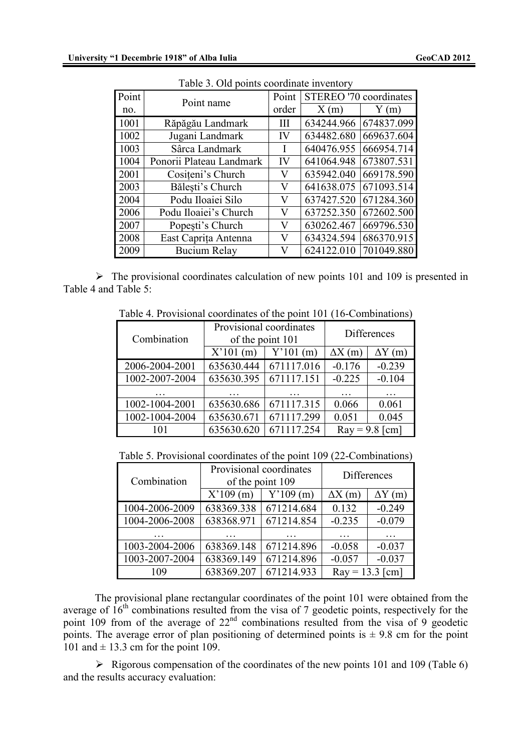| Point | Tuble 5. OR points coordinate inventory<br>Point name | Point | STEREO '70 coordinates |            |
|-------|-------------------------------------------------------|-------|------------------------|------------|
| no.   |                                                       | order | X(m)                   | Y(m)       |
| 1001  | Răpăgău Landmark                                      | Ш     | 634244.966             | 674837.099 |
| 1002  | Jugani Landmark                                       | IV    | 634482.680             | 669637.604 |
| 1003  | Sârca Landmark                                        |       | 640476.955             | 666954.714 |
| 1004  | Ponorii Plateau Landmark                              | IV    | 641064.948             | 673807.531 |
| 2001  | Cositeni's Church                                     | V     | 635942.040             | 669178.590 |
| 2003  | Bălești's Church                                      | V     | 641638.075             | 671093.514 |
| 2004  | Podu Iloaiei Silo                                     | V     | 637427.520             | 671284.360 |
| 2006  | Podu Iloaiei's Church                                 | V     | 637252.350             | 672602.500 |
| 2007  | Popești's Church                                      | V     | 630262.467             | 669796.530 |
| 2008  | East Caprița Antenna                                  | V     | 634324.594             | 686370.915 |
| 2009  | <b>Bucium Relay</b>                                   | V     | 624122.010             | 701049.880 |

Table 3. Old points coordinate inventory

 $\triangleright$  The provisional coordinates calculation of new points 101 and 109 is presented in Table 4 and Table 5:

Table 4. Provisional coordinates of the point 101 (16-Combinations)

| Combination    | Provisional coordinates<br>of the point 101 |            |                | <b>Differences</b> |
|----------------|---------------------------------------------|------------|----------------|--------------------|
|                | X'101(m)                                    | Y'101(m)   | $\Delta X$ (m) | $\Delta Y$ (m)     |
| 2006-2004-2001 | 635630.444                                  | 671117.016 | $-0.176$       | $-0.239$           |
| 1002-2007-2004 | 635630.395                                  | 671117.151 | $-0.225$       | $-0.104$           |
|                |                                             |            |                |                    |
| 1002-1004-2001 | 635630.686                                  | 671117.315 | 0.066          | 0.061              |
| 1002-1004-2004 | 635630.671                                  | 671117.299 | 0.051          | 0.045              |
| 101            | 635630.620                                  | 671117.254 |                | $Ray = 9.8$ [cm]   |

Table 5. Provisional coordinates of the point 109 (22-Combinations)

| Combination    | Provisional coordinates<br>of the point 109 |            | <b>Differences</b> |                |
|----------------|---------------------------------------------|------------|--------------------|----------------|
|                | X'109(m)                                    | Y'109(m)   | $\Delta X$ (m)     | $\Delta Y$ (m) |
| 1004-2006-2009 | 638369.338                                  | 671214.684 | 0.132              | $-0.249$       |
| 1004-2006-2008 | 638368.971                                  | 671214.854 | $-0.235$           | $-0.079$       |
|                |                                             |            |                    |                |
| 1003-2004-2006 | 638369.148                                  | 671214.896 | $-0.058$           | $-0.037$       |
| 1003-2007-2004 | 638369.149                                  | 671214.896 | $-0.057$           | $-0.037$       |
| 109            | 638369.207                                  | 671214.933 | $Ray = 13.3$ [cm]  |                |

The provisional plane rectangular coordinates of the point 101 were obtained from the average of  $16<sup>th</sup>$  combinations resulted from the visa of 7 geodetic points, respectively for the point 109 from of the average of  $22<sup>nd</sup>$  combinations resulted from the visa of 9 geodetic points. The average error of plan positioning of determined points is  $\pm$  9.8 cm for the point 101 and  $\pm$  13.3 cm for the point 109.

 $\triangleright$  Rigorous compensation of the coordinates of the new points 101 and 109 (Table 6) and the results accuracy evaluation: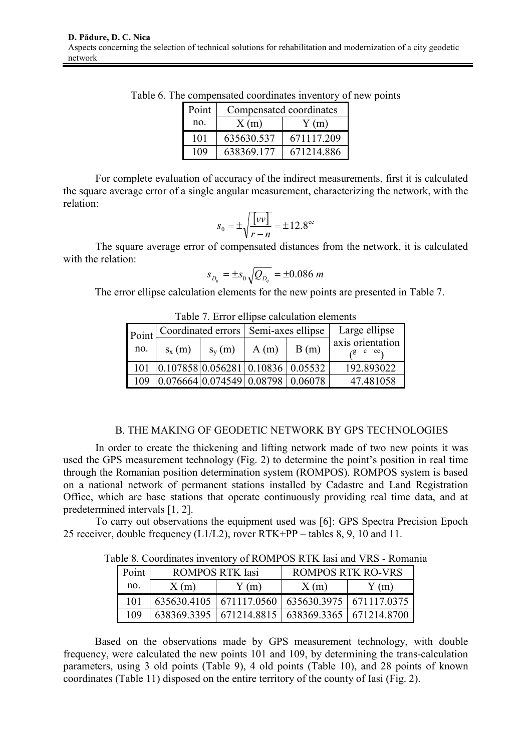| Point | Compensated coordinates |            |  |  |
|-------|-------------------------|------------|--|--|
| no.   | X(m)                    | Y(m)       |  |  |
| 101   | 635630.537              | 671117.209 |  |  |
| 109   | 638369.177              | 671214.886 |  |  |

Table 6. The compensated coordinates inventory of new points

For complete evaluation of accuracy of the indirect measurements, first it is calculated the square average error of a single angular measurement, characterizing the network, with the relation:

$$
s_0 = \pm \sqrt{\frac{[vv]}{r-n}} = \pm 12.8^{\circ\circ}
$$

The square average error of compensated distances from the network, it is calculated with the relation:

$$
s_{D_{ij}} = \pm s_0 \sqrt{Q_{D_{ij}}} = \pm 0.086 \; m
$$

The error ellipse calculation elements for the new points are presented in Table 7.

| Tuble 7. Effort chipse eared alleged elements |                                        |                                                             |      |      |                  |  |
|-----------------------------------------------|----------------------------------------|-------------------------------------------------------------|------|------|------------------|--|
| Point                                         | Coordinated errors   Semi-axes ellipse |                                                             |      |      | Large ellipse    |  |
| no.                                           | $S_x(m)$                               | $S_v(m)$                                                    | A(m) | B(m) | axis orientation |  |
| 101                                           |                                        | $\vert 0.107858 \vert 0.056281 \vert 0.10836 \vert 0.05532$ |      |      | 192.893022       |  |
| 109                                           |                                        | [0.076664]0.074549]0.08798]0.06078                          |      |      | 47.481058        |  |

Table 7. Error ellipse calculation elements

# B. THE MAKING OF GEODETIC NETWORK BY GPS TECHNOLOGIES

In order to create the thickening and lifting network made of two new points it was used the GPS measurement technology (Fig. 2) to determine the point's position in real time through the Romanian position determination system (ROMPOS). ROMPOS system is based on a national network of permanent stations installed by Cadastre and Land Registration Office, which are base stations that operate continuously providing real time data, and at predetermined intervals [1, 2].

To carry out observations the equipment used was [6]: GPS Spectra Precision Epoch 25 receiver, double frequency (L1/L2), rover RTK+PP – tables 8, 9, 10 and 11.

Table 8. Coordinates inventory of ROMPOS RTK Iasi and VRS - Romania

| Point |      | <b>ROMPOS RTK Iasi</b> | ROMPOS RTK RO-VRS                                     |      |  |
|-------|------|------------------------|-------------------------------------------------------|------|--|
| no.   | X(m) | Y(m)                   | X(m)                                                  | Y(m) |  |
| 101   |      |                        | 635630.4105   671117.0560   635630.3975   671117.0375 |      |  |
| 109   |      |                        | 638369.3395   671214.8815   638369.3365   671214.8700 |      |  |

Based on the observations made by GPS measurement technology, with double frequency, were calculated the new points 101 and 109, by determining the trans-calculation parameters, using 3 old points (Table 9), 4 old points (Table 10), and 28 points of known coordinates (Table 11) disposed on the entire territory of the county of Iasi (Fig. 2).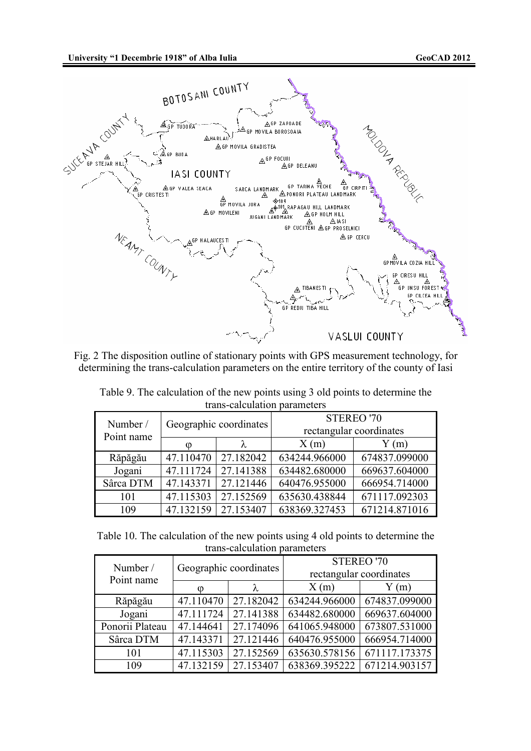**University "1 Decembrie 1918" of Alba Iulia GeoCAD 2012**



Fig. 2 The disposition outline of stationary points with GPS measurement technology, for determining the trans-calculation parameters on the entire territory of the county of Iasi

| trans-calculation parameters |                        |                       |                         |               |  |
|------------------------------|------------------------|-----------------------|-------------------------|---------------|--|
| Number /                     | Geographic coordinates |                       | STEREO '70              |               |  |
| Point name                   |                        |                       | rectangular coordinates |               |  |
|                              | Ø                      | λ                     | X(m)                    | Y(m)          |  |
| Răpăgău                      |                        | 47.110470   27.182042 | 634244.966000           | 674837.099000 |  |
| Jogani                       | 47.111724              | 27.141388             | 634482.680000           | 669637.604000 |  |
| Sârca DTM                    | 47.143371              | 27.121446             | 640476.955000           | 666954.714000 |  |
| 101                          | 47.115303              | 27.152569             | 635630.438844           | 671117.092303 |  |

Table 9. The calculation of the new points using 3 old points to determine the trans-calculation parameters

Table 10. The calculation of the new points using 4 old points to determine the trans-calculation parameters

109 47.132159 27.153407 638369.327453 671214.871016

| Number /<br>Point name |           | Geographic coordinates | rectangular coordinates | <b>STEREO '70</b> |
|------------------------|-----------|------------------------|-------------------------|-------------------|
|                        | ∞         | λ                      | X(m)                    | Y(m)              |
| Răpăgău                | 47.110470 | 27.182042              | 634244.966000           | 674837.099000     |
| Jogani                 | 47.111724 | 27.141388              | 634482.680000           | 669637.604000     |
| Ponorii Plateau        | 47.144641 | 27.174096              | 641065.948000           | 673807.531000     |
| Sârca DTM              | 47.143371 | 27.121446              | 640476.955000           | 666954.714000     |
| 101                    | 47.115303 | 27.152569              | 635630.578156           | 671117.173375     |
| 109                    | 47.132159 | 27.153407              | 638369.395222           | 671214.903157     |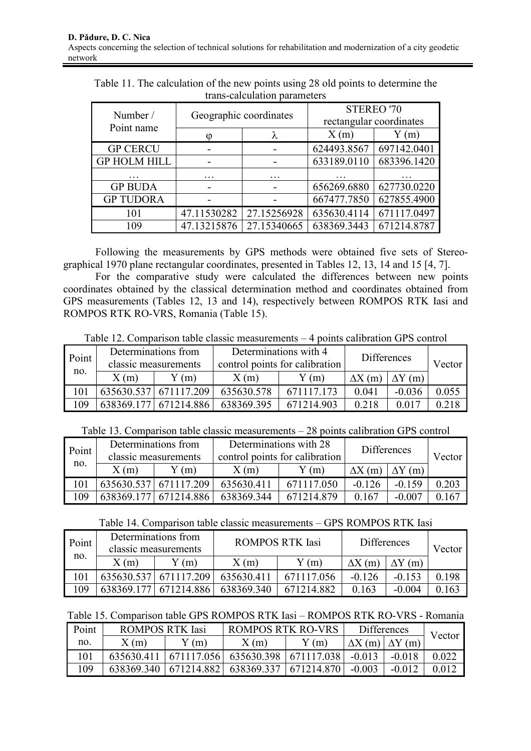| Number /<br>Point name | Geographic coordinates |             | STEREO '70<br>rectangular coordinates |             |
|------------------------|------------------------|-------------|---------------------------------------|-------------|
|                        | O                      |             | X(m)                                  | Y(m)        |
| <b>GP CERCU</b>        |                        |             | 624493.8567                           | 697142.0401 |
| <b>GP HOLM HILL</b>    |                        |             | 633189.0110                           | 683396.1420 |
|                        |                        |             |                                       |             |
| <b>GP BUDA</b>         |                        |             | 656269.6880                           | 627730.0220 |
| <b>GP TUDORA</b>       |                        |             | 667477.7850                           | 627855.4900 |
| 101                    | 47.11530282            | 27.15256928 | 635630.4114                           | 671117.0497 |
| 109                    | 47.13215876            | 27.15340665 | 638369.3443                           | 671214.8787 |

Table 11. The calculation of the new points using 28 old points to determine the trans-calculation parameters

Following the measurements by GPS methods were obtained five sets of Stereographical 1970 plane rectangular coordinates, presented in Tables 12, 13, 14 and 15 [4, 7].

For the comparative study were calculated the differences between new points coordinates obtained by the classical determination method and coordinates obtained from GPS measurements (Tables 12, 13 and 14), respectively between ROMPOS RTK Iasi and ROMPOS RTK RO-VRS, Romania (Table 15).

| Table 12. Comparison table classic measurements $-4$ points calibration GPS control |                     |                                                                              |             |                              |  |  |  |
|-------------------------------------------------------------------------------------|---------------------|------------------------------------------------------------------------------|-------------|------------------------------|--|--|--|
| Point                                                                               | Determinations from | Determinations with 4<br>classic moosurements control points for colibration | Differences | $V_{\alpha \alpha \alpha r}$ |  |  |  |

| Point | DUULIIIIIIauuis nuin<br>classic measurements |                       | $D$ CRIMINATIONS WITH $\pm$<br>control points for calibration |            | <b>Differences</b> |        | Vector |
|-------|----------------------------------------------|-----------------------|---------------------------------------------------------------|------------|--------------------|--------|--------|
| no.   | X(m)                                         | (m)                   | X(m)                                                          | Y(m)       | $\Delta X$ (m)     |        |        |
|       |                                              | 635630.537 671117.209 | 635630.578                                                    | 671117 173 | 0.041              | -0.036 | 0.055  |
| -09   | 638369.177                                   | 671214.886            | 638369.395                                                    | 671214.903 | 0.218              |        |        |

Table 13. Comparison table classic measurements – 28 points calibration GPS control

| Point<br>no. | Determinations from<br>classic measurements |                       | Determinations with 28<br>control points for calibration |            | <b>Differences</b> |                | Vector |
|--------------|---------------------------------------------|-----------------------|----------------------------------------------------------|------------|--------------------|----------------|--------|
|              | X(m)                                        | Y(m)                  | X(m)                                                     | Y(m)       | $\Delta X$ (m)     | $\Delta Y$ (m) |        |
| 101          |                                             | 635630.537 671117.209 | 635630.411                                               | 671117.050 | $-0.126$           | $-0.159$       | 0.203  |
| 109          | 638369 177                                  | 671214.886            | 638369.344                                               | 671214879  | 0.167              | $-0.007$       | 0 167  |

Table 14. Comparison table classic measurements – GPS ROMPOS RTK Iasi

| Point<br>no. | Determinations from<br>classic measurements |            | <b>ROMPOS RTK Iasi</b> |            | <b>Differences</b> |                | Vector |
|--------------|---------------------------------------------|------------|------------------------|------------|--------------------|----------------|--------|
|              | X(m)                                        | (m)        | X(m)                   | Y(m)       | $\Delta X$ (m)     | $\Delta Y$ (m) |        |
|              | 635630.537                                  | 671117.209 | 635630.41              | 671117056  | $-0.126$           | $-0.153$       | 0.198  |
| 109          | 638369.177                                  | 671214.886 | 638369.340             | 671214.882 | 0.163              | $-0.004$       | 0.163  |

Table 15. Comparison table GPS ROMPOS RTK Iasi – ROMPOS RTK RO-VRS - Romania

| Point | <b>ROMPOS RTK Iasi</b> |      | ROMPOS RTK RO-VRS                                 |      | <b>Differences</b> |                               | Vector |
|-------|------------------------|------|---------------------------------------------------|------|--------------------|-------------------------------|--------|
| no.   | X(m)                   | Y(m) | X(m)                                              | Y(m) |                    | $\Delta X$ (m) $\Delta Y$ (m) |        |
|       | 635630.411             |      | $  671117.056   635630.398   671117.038  $        |      | $-0.013$           | $-0.018$                      | 0.022  |
| ' 09. |                        |      | 638369.340   671214.882   638369.337   671214.870 |      | $-0.003$           | $-0.012$                      | 0.012  |